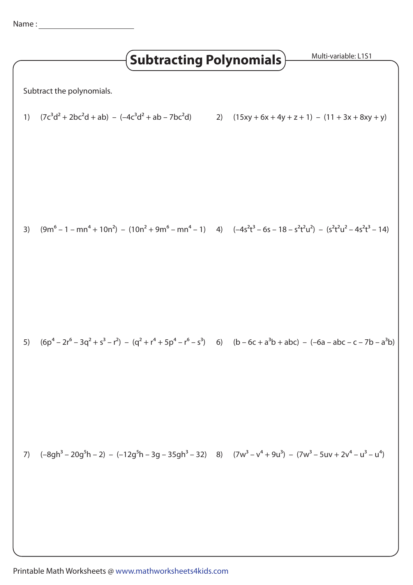